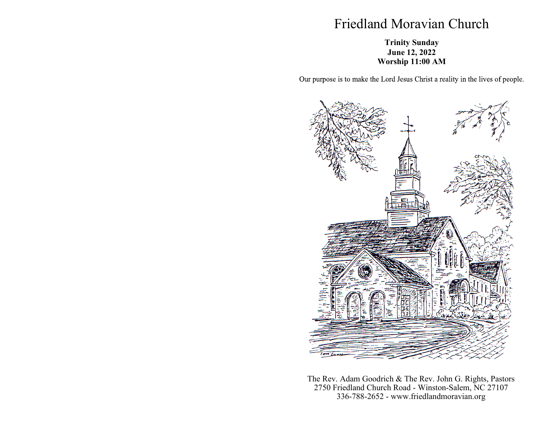## Friedland Moravian Church

## **Trinity Sunday June 12, 2022 Worship 11:00 AM**

Our purpose is to make the Lord Jesus Christ a reality in the lives of people.



The Rev. Adam Goodrich & The Rev. John G. Rights, Pastors 2750 Friedland Church Road - Winston-Salem, NC 27107 336-788-2652 - www.friedlandmoravian.org